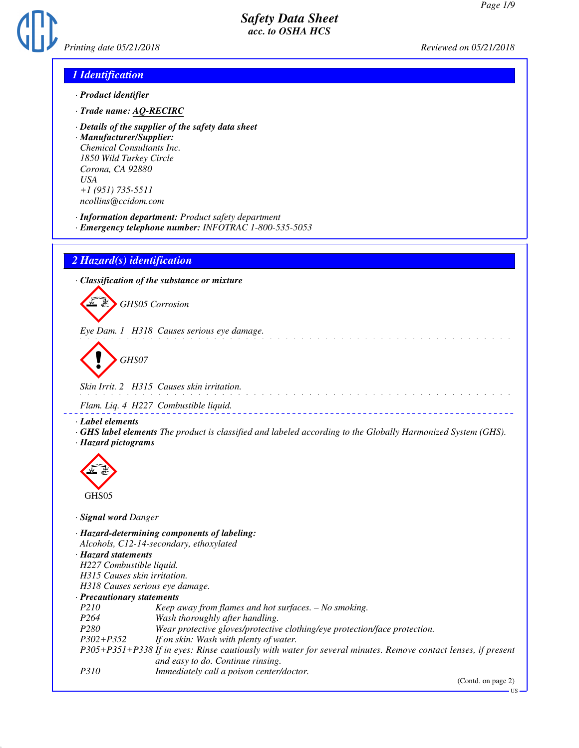

#### *1 Identification*

- *· Product identifier*
- *· Trade name: AQ-RECIRC*
- *· Details of the supplier of the safety data sheet*

*· Manufacturer/Supplier: Chemical Consultants Inc. 1850 Wild Turkey Circle Corona, CA 92880 USA +1 (951) 735-5511 ncollins@ccidom.com*

*· Information department: Product safety department*

*· Emergency telephone number: INFOTRAC 1-800-535-5053*

### *2 Hazard(s) identification*

*· Classification of the substance or mixture*

d~*GHS05 Corrosion*

*Eye Dam. 1 H318 Causes serious eye damage.*



*Skin Irrit. 2 H315 Causes skin irritation.*

*Flam. Liq. 4 H227 Combustible liquid.*

- *· Label elements*
- *· GHS label elements The product is classified and labeled according to the Globally Harmonized System (GHS). · Hazard pictograms*



- *· Signal word Danger*
- *· Hazard-determining components of labeling: Alcohols, C12-14-secondary, ethoxylated · Hazard statements H227 Combustible liquid.*

*H315 Causes skin irritation.*

*H318 Causes serious eye damage.*

*· Precautionary statements*

- *P210 Keep away from flames and hot surfaces. No smoking. P264 Wash thoroughly after handling. P280 Wear protective gloves/protective clothing/eye protection/face protection. If on skin: Wash with plenty of water. P305+P351+P338 If in eyes: Rinse cautiously with water for several minutes. Remove contact lenses, if present and easy to do. Continue rinsing.*
- *P310 Immediately call a poison center/doctor.*

(Contd. on page 2)

US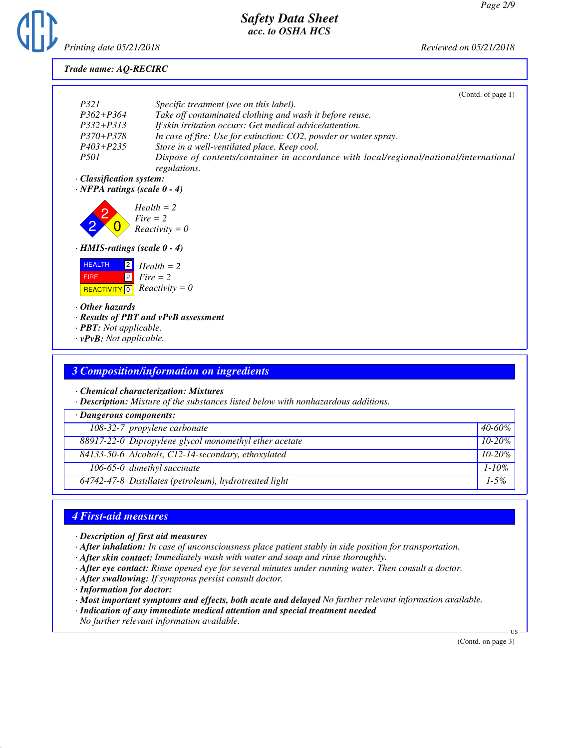*Printing date 05/21/2018 Reviewed on 05/21/2018*

#### *Trade name: AQ-RECIRC*

|                          | (Contd. of page $1$ )                                                                                  |
|--------------------------|--------------------------------------------------------------------------------------------------------|
| <i>P321</i>              | Specific treatment (see on this label).                                                                |
| $P362 + P364$            | Take off contaminated clothing and wash it before reuse.                                               |
| $P332 + P313$            | If skin irritation occurs: Get medical advice/attention.                                               |
| $P370 + P378$            | In case of fire: Use for extinction: CO2, powder or water spray.                                       |
| $P403 + P235$            | Store in a well-ventilated place. Keep cool.                                                           |
| <i>P501</i>              | Dispose of contents/container in accordance with local/regional/national/international<br>regulations. |
| · Classification system: |                                                                                                        |

*· NFPA ratings (scale 0 - 4)*

2 2  $\overline{0}$ *Health = 2 Fire = 2 Reactivity = 0*

*· HMIS-ratings (scale 0 - 4)*

 HEALTH FIRE **REACTIVITY** 0  $\boxed{2}$ 2 *Health = 2 Fire = 2 Reactivity = 0*

*· Other hazards*

*· Results of PBT and vPvB assessment*

*· PBT: Not applicable.*

*· vPvB: Not applicable.*

#### *3 Composition/information on ingredients*

*· Chemical characterization: Mixtures*

*· Description: Mixture of the substances listed below with nonhazardous additions.*

| · Dangerous components: |                                                        |             |
|-------------------------|--------------------------------------------------------|-------------|
|                         | 108-32-7 propylene carbonate                           | $40 - 60\%$ |
|                         | 88917-22-0 Dipropylene glycol monomethyl ether acetate | $10 - 20\%$ |
|                         | 84133-50-6 Alcohols, C12-14-secondary, ethoxylated     | $10 - 20%$  |
|                         | 106-65-0 dimethyl succinate                            | $1 - 10\%$  |
|                         | 64742-47-8 Distillates (petroleum), hydrotreated light | $1 - 5\%$   |

### *4 First-aid measures*

*· Description of first aid measures*

*· After inhalation: In case of unconsciousness place patient stably in side position for transportation.*

- *· After skin contact: Immediately wash with water and soap and rinse thoroughly.*
- *· After eye contact: Rinse opened eye for several minutes under running water. Then consult a doctor.*
- *· After swallowing: If symptoms persist consult doctor.*

*· Information for doctor:*

*· Most important symptoms and effects, both acute and delayed No further relevant information available.*

*· Indication of any immediate medical attention and special treatment needed*

*No further relevant information available.*

(Contd. on page 3)

US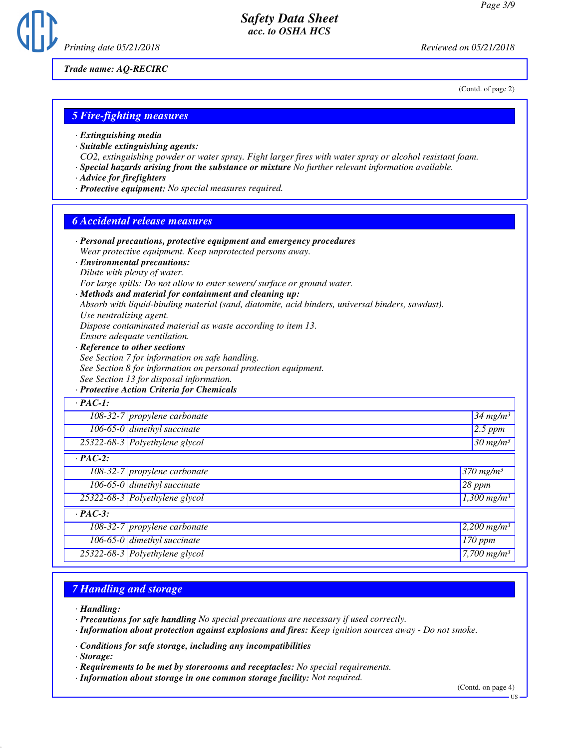

*Trade name: AQ-RECIRC*

(Contd. of page 2)

### *5 Fire-fighting measures*

- *· Extinguishing media*
- *· Suitable extinguishing agents:*
- *CO2, extinguishing powder or water spray. Fight larger fires with water spray or alcohol resistant foam.*
- *· Special hazards arising from the substance or mixture No further relevant information available.*
- *· Advice for firefighters*
- *· Protective equipment: No special measures required.*

### *6 Accidental release measures*

*· Personal precautions, protective equipment and emergency procedures Wear protective equipment. Keep unprotected persons away. · Environmental precautions: Dilute with plenty of water. For large spills: Do not allow to enter sewers/ surface or ground water. · Methods and material for containment and cleaning up: Absorb with liquid-binding material (sand, diatomite, acid binders, universal binders, sawdust). Use neutralizing agent. Dispose contaminated material as waste according to item 13. Ensure adequate ventilation. · Reference to other sections See Section 7 for information on safe handling. See Section 8 for information on personal protection equipment. See Section 13 for disposal information. · Protective Action Criteria for Chemicals · PAC-1: 108-32-7 propylene carbonate 34 mg/m³ 106-65-0 dimethyl succinate 2.5 ppm 25322-68-3 Polyethylene glycol 30 mg/m³ · PAC-2: 108-32-7 propylene carbonate 370 mg/m³ 106-65-0 dimethyl succinate 28 ppm 25322-68-3 Polyethylene glycol 1,300 mg/m³ · PAC-3: 108-32-7 propylene carbonate 2,200 mg/m³ 106-65-0 dimethyl succinate 170 ppm 25322-68-3 Polyethylene glycol 7,700 mg/m³*

## *7 Handling and storage*

*· Handling:*

- *· Precautions for safe handling No special precautions are necessary if used correctly.*
- *· Information about protection against explosions and fires: Keep ignition sources away Do not smoke.*
- *· Conditions for safe storage, including any incompatibilities*

*· Storage:*

- *· Requirements to be met by storerooms and receptacles: No special requirements.*
- *· Information about storage in one common storage facility: Not required.*

(Contd. on page 4)

US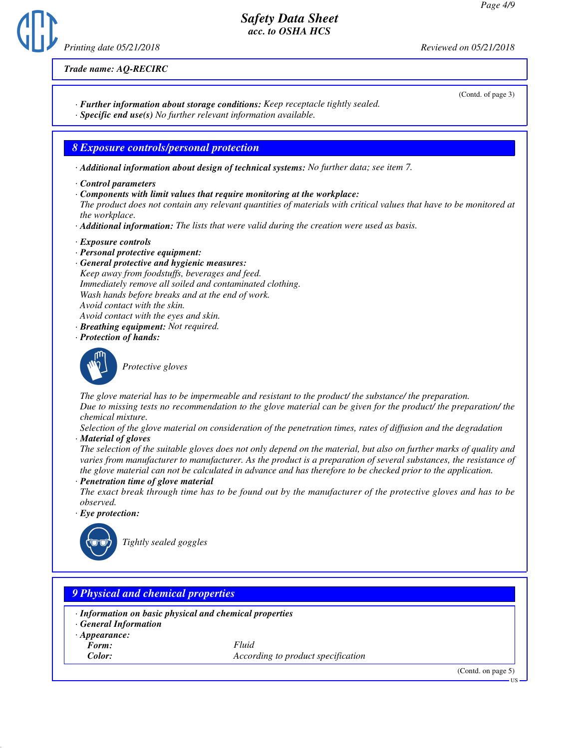*Printing date 05/21/2018 Reviewed on 05/21/2018*

*Trade name: AQ-RECIRC*

- *· Further information about storage conditions: Keep receptacle tightly sealed.*
- *· Specific end use(s) No further relevant information available.*

#### *8 Exposure controls/personal protection*

- *· Additional information about design of technical systems: No further data; see item 7.*
- *· Control parameters*
- *· Components with limit values that require monitoring at the workplace:*

*The product does not contain any relevant quantities of materials with critical values that have to be monitored at the workplace.*

- *· Additional information: The lists that were valid during the creation were used as basis.*
- *· Exposure controls*
- *· Personal protective equipment:*
- *· General protective and hygienic measures: Keep away from foodstuffs, beverages and feed. Immediately remove all soiled and contaminated clothing. Wash hands before breaks and at the end of work. Avoid contact with the skin. Avoid contact with the eyes and skin.*

*· Breathing equipment: Not required.*

*· Protection of hands:*



\_S*Protective gloves*

*The glove material has to be impermeable and resistant to the product/ the substance/ the preparation. Due to missing tests no recommendation to the glove material can be given for the product/ the preparation/ the chemical mixture.*

*Selection of the glove material on consideration of the penetration times, rates of diffusion and the degradation · Material of gloves*

*The selection of the suitable gloves does not only depend on the material, but also on further marks of quality and varies from manufacturer to manufacturer. As the product is a preparation of several substances, the resistance of the glove material can not be calculated in advance and has therefore to be checked prior to the application.*

*· Penetration time of glove material*

*The exact break through time has to be found out by the manufacturer of the protective gloves and has to be observed.*

*· Eye protection:*



\_R*Tightly sealed goggles*

## *9 Physical and chemical properties*

- *· Information on basic physical and chemical properties*
- *· General Information*
- *· Appearance:*
	- *Form: Fluid*

*Color: According to product specification*

(Contd. on page 5)

(Contd. of page 3)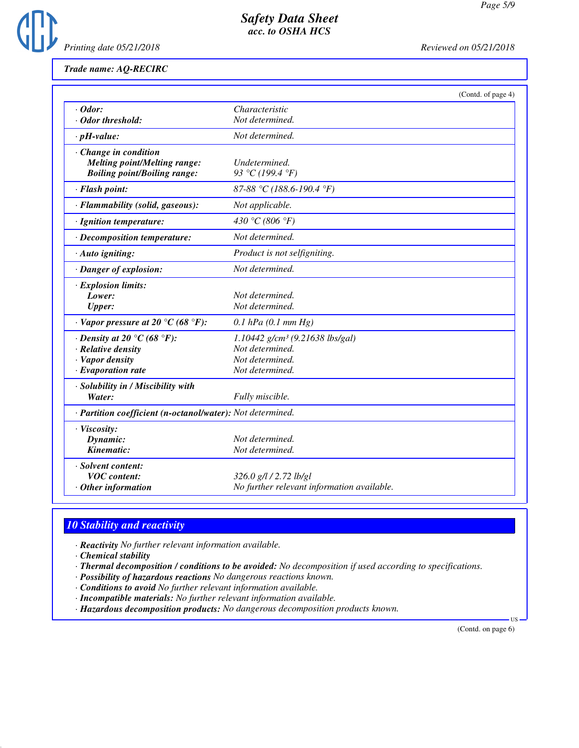

*Trade name: AQ-RECIRC*

| $\cdot$ Odor:<br>Characteristic<br>· Odor threshold:<br>Not determined.<br>Not determined.<br>$\cdot$ pH-value:<br>Change in condition<br><b>Melting point/Melting range:</b><br>Undetermined.<br><b>Boiling point/Boiling range:</b><br>93 °C (199.4 °F)<br>87-88 °C (188.6-190.4 °F)<br>· Flash point:<br>· Flammability (solid, gaseous):<br>Not applicable.<br>430 °C (806 °F)<br>· Ignition temperature:<br>Not determined.<br>· Decomposition temperature:<br>Product is not selfigniting.<br>$\cdot$ Auto igniting:<br>Not determined.<br>· Danger of explosion:<br>· Explosion limits:<br>Not determined.<br>Lower:<br>Not determined.<br><b>Upper:</b><br>$\cdot$ Vapor pressure at 20 °C (68 °F):<br>0.1 hPa $(0.1 \text{ mm Hg})$<br>$\cdot$ Density at 20 °C (68 °F):<br>1.10442 g/cm <sup>3</sup> (9.21638 lbs/gal)<br>· Relative density<br>Not determined.<br>· Vapor density<br>Not determined.<br>$\cdot$ Evaporation rate<br>Not determined.<br>· Solubility in / Miscibility with<br>Water:<br>Fully miscible.<br>· Partition coefficient (n-octanol/water): Not determined.<br>· Viscosity:<br>Dynamic:<br>Not determined.<br>Kinematic:<br>Not determined.<br>· Solvent content:<br>326.0 g/l / 2.72 lb/gl<br><b>VOC</b> content: |                           | (Contd. of page 4)                         |
|--------------------------------------------------------------------------------------------------------------------------------------------------------------------------------------------------------------------------------------------------------------------------------------------------------------------------------------------------------------------------------------------------------------------------------------------------------------------------------------------------------------------------------------------------------------------------------------------------------------------------------------------------------------------------------------------------------------------------------------------------------------------------------------------------------------------------------------------------------------------------------------------------------------------------------------------------------------------------------------------------------------------------------------------------------------------------------------------------------------------------------------------------------------------------------------------------------------------------------------------------------|---------------------------|--------------------------------------------|
|                                                                                                                                                                                                                                                                                                                                                                                                                                                                                                                                                                                                                                                                                                                                                                                                                                                                                                                                                                                                                                                                                                                                                                                                                                                        |                           |                                            |
|                                                                                                                                                                                                                                                                                                                                                                                                                                                                                                                                                                                                                                                                                                                                                                                                                                                                                                                                                                                                                                                                                                                                                                                                                                                        |                           |                                            |
|                                                                                                                                                                                                                                                                                                                                                                                                                                                                                                                                                                                                                                                                                                                                                                                                                                                                                                                                                                                                                                                                                                                                                                                                                                                        |                           |                                            |
|                                                                                                                                                                                                                                                                                                                                                                                                                                                                                                                                                                                                                                                                                                                                                                                                                                                                                                                                                                                                                                                                                                                                                                                                                                                        |                           |                                            |
|                                                                                                                                                                                                                                                                                                                                                                                                                                                                                                                                                                                                                                                                                                                                                                                                                                                                                                                                                                                                                                                                                                                                                                                                                                                        |                           |                                            |
|                                                                                                                                                                                                                                                                                                                                                                                                                                                                                                                                                                                                                                                                                                                                                                                                                                                                                                                                                                                                                                                                                                                                                                                                                                                        |                           |                                            |
|                                                                                                                                                                                                                                                                                                                                                                                                                                                                                                                                                                                                                                                                                                                                                                                                                                                                                                                                                                                                                                                                                                                                                                                                                                                        |                           |                                            |
|                                                                                                                                                                                                                                                                                                                                                                                                                                                                                                                                                                                                                                                                                                                                                                                                                                                                                                                                                                                                                                                                                                                                                                                                                                                        |                           |                                            |
|                                                                                                                                                                                                                                                                                                                                                                                                                                                                                                                                                                                                                                                                                                                                                                                                                                                                                                                                                                                                                                                                                                                                                                                                                                                        |                           |                                            |
|                                                                                                                                                                                                                                                                                                                                                                                                                                                                                                                                                                                                                                                                                                                                                                                                                                                                                                                                                                                                                                                                                                                                                                                                                                                        |                           |                                            |
|                                                                                                                                                                                                                                                                                                                                                                                                                                                                                                                                                                                                                                                                                                                                                                                                                                                                                                                                                                                                                                                                                                                                                                                                                                                        |                           |                                            |
|                                                                                                                                                                                                                                                                                                                                                                                                                                                                                                                                                                                                                                                                                                                                                                                                                                                                                                                                                                                                                                                                                                                                                                                                                                                        |                           |                                            |
|                                                                                                                                                                                                                                                                                                                                                                                                                                                                                                                                                                                                                                                                                                                                                                                                                                                                                                                                                                                                                                                                                                                                                                                                                                                        |                           |                                            |
|                                                                                                                                                                                                                                                                                                                                                                                                                                                                                                                                                                                                                                                                                                                                                                                                                                                                                                                                                                                                                                                                                                                                                                                                                                                        |                           |                                            |
|                                                                                                                                                                                                                                                                                                                                                                                                                                                                                                                                                                                                                                                                                                                                                                                                                                                                                                                                                                                                                                                                                                                                                                                                                                                        |                           |                                            |
|                                                                                                                                                                                                                                                                                                                                                                                                                                                                                                                                                                                                                                                                                                                                                                                                                                                                                                                                                                                                                                                                                                                                                                                                                                                        |                           |                                            |
|                                                                                                                                                                                                                                                                                                                                                                                                                                                                                                                                                                                                                                                                                                                                                                                                                                                                                                                                                                                                                                                                                                                                                                                                                                                        |                           |                                            |
|                                                                                                                                                                                                                                                                                                                                                                                                                                                                                                                                                                                                                                                                                                                                                                                                                                                                                                                                                                                                                                                                                                                                                                                                                                                        |                           |                                            |
|                                                                                                                                                                                                                                                                                                                                                                                                                                                                                                                                                                                                                                                                                                                                                                                                                                                                                                                                                                                                                                                                                                                                                                                                                                                        |                           |                                            |
|                                                                                                                                                                                                                                                                                                                                                                                                                                                                                                                                                                                                                                                                                                                                                                                                                                                                                                                                                                                                                                                                                                                                                                                                                                                        |                           |                                            |
|                                                                                                                                                                                                                                                                                                                                                                                                                                                                                                                                                                                                                                                                                                                                                                                                                                                                                                                                                                                                                                                                                                                                                                                                                                                        |                           |                                            |
|                                                                                                                                                                                                                                                                                                                                                                                                                                                                                                                                                                                                                                                                                                                                                                                                                                                                                                                                                                                                                                                                                                                                                                                                                                                        |                           |                                            |
|                                                                                                                                                                                                                                                                                                                                                                                                                                                                                                                                                                                                                                                                                                                                                                                                                                                                                                                                                                                                                                                                                                                                                                                                                                                        |                           |                                            |
|                                                                                                                                                                                                                                                                                                                                                                                                                                                                                                                                                                                                                                                                                                                                                                                                                                                                                                                                                                                                                                                                                                                                                                                                                                                        |                           |                                            |
|                                                                                                                                                                                                                                                                                                                                                                                                                                                                                                                                                                                                                                                                                                                                                                                                                                                                                                                                                                                                                                                                                                                                                                                                                                                        |                           |                                            |
|                                                                                                                                                                                                                                                                                                                                                                                                                                                                                                                                                                                                                                                                                                                                                                                                                                                                                                                                                                                                                                                                                                                                                                                                                                                        |                           |                                            |
|                                                                                                                                                                                                                                                                                                                                                                                                                                                                                                                                                                                                                                                                                                                                                                                                                                                                                                                                                                                                                                                                                                                                                                                                                                                        |                           |                                            |
|                                                                                                                                                                                                                                                                                                                                                                                                                                                                                                                                                                                                                                                                                                                                                                                                                                                                                                                                                                                                                                                                                                                                                                                                                                                        |                           |                                            |
|                                                                                                                                                                                                                                                                                                                                                                                                                                                                                                                                                                                                                                                                                                                                                                                                                                                                                                                                                                                                                                                                                                                                                                                                                                                        | $\cdot$ Other information | No further relevant information available. |

## *10 Stability and reactivity*

*· Reactivity No further relevant information available.*

- *· Chemical stability*
- *· Thermal decomposition / conditions to be avoided: No decomposition if used according to specifications.*
- *· Possibility of hazardous reactions No dangerous reactions known.*
- *· Conditions to avoid No further relevant information available.*
- *· Incompatible materials: No further relevant information available.*
- *· Hazardous decomposition products: No dangerous decomposition products known.*

(Contd. on page 6)

US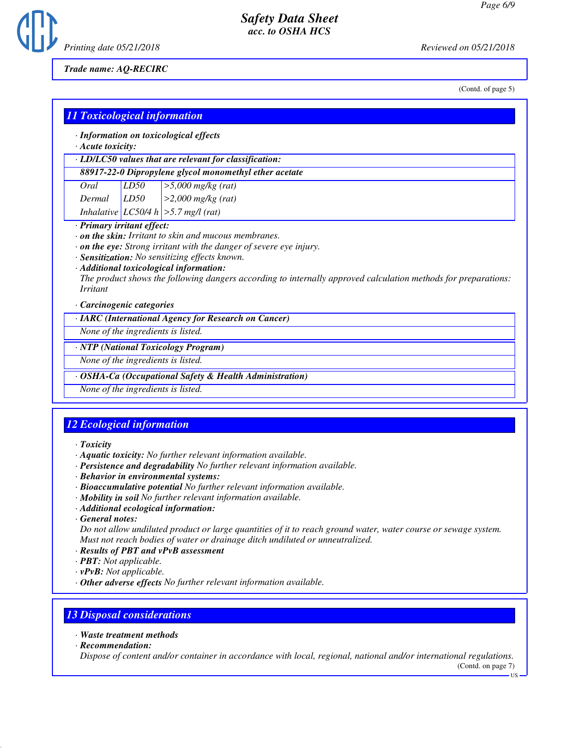

*Printing date 05/21/2018 Reviewed on 05/21/2018*

*Trade name: AQ-RECIRC*

(Contd. of page 5)

| <b>11 Toxicological information</b>    |      |                                                                                                                                                                                                                                                                                                                                                         |
|----------------------------------------|------|---------------------------------------------------------------------------------------------------------------------------------------------------------------------------------------------------------------------------------------------------------------------------------------------------------------------------------------------------------|
| $\cdot$ Acute toxicity:                |      | · Information on toxicological effects                                                                                                                                                                                                                                                                                                                  |
|                                        |      | · LD/LC50 values that are relevant for classification:                                                                                                                                                                                                                                                                                                  |
|                                        |      | 88917-22-0 Dipropylene glycol monomethyl ether acetate                                                                                                                                                                                                                                                                                                  |
| Oral                                   | LD50 | $>5,000$ mg/kg (rat)                                                                                                                                                                                                                                                                                                                                    |
| Dermal                                 | LD50 | $>2,000$ mg/kg (rat)                                                                                                                                                                                                                                                                                                                                    |
|                                        |      | Inhalative $ LC50/4 h  > 5.7$ mg/l (rat)                                                                                                                                                                                                                                                                                                                |
| · Primary irritant effect:<br>Irritant |      | $\cdot$ on the skin: Irritant to skin and mucous membranes.<br>$\cdot$ on the eye: Strong irritant with the danger of severe eye injury.<br>· Sensitization: No sensitizing effects known.<br>· Additional toxicological information:<br>The product shows the following dangers according to internally approved calculation methods for preparations: |
| Carcinogenic categories                |      |                                                                                                                                                                                                                                                                                                                                                         |
|                                        |      | · IARC (International Agency for Research on Cancer)                                                                                                                                                                                                                                                                                                    |
| None of the ingredients is listed.     |      |                                                                                                                                                                                                                                                                                                                                                         |
|                                        |      | · NTP (National Toxicology Program)                                                                                                                                                                                                                                                                                                                     |
| None of the ingredients is listed.     |      |                                                                                                                                                                                                                                                                                                                                                         |

*· OSHA-Ca (Occupational Safety & Health Administration)*

*None of the ingredients is listed.*

# *12 Ecological information*

#### *· Toxicity*

- *· Aquatic toxicity: No further relevant information available.*
- *· Persistence and degradability No further relevant information available.*
- *· Behavior in environmental systems:*
- *· Bioaccumulative potential No further relevant information available.*
- *· Mobility in soil No further relevant information available.*
- *· Additional ecological information:*
- *· General notes:*

*Do not allow undiluted product or large quantities of it to reach ground water, water course or sewage system. Must not reach bodies of water or drainage ditch undiluted or unneutralized.*

- *· Results of PBT and vPvB assessment*
- *· PBT: Not applicable.*
- *· vPvB: Not applicable.*
- *· Other adverse effects No further relevant information available.*

#### *13 Disposal considerations*

- *· Waste treatment methods*
- *· Recommendation:*

*Dispose of content and/or container in accordance with local, regional, national and/or international regulations.* (Contd. on page 7)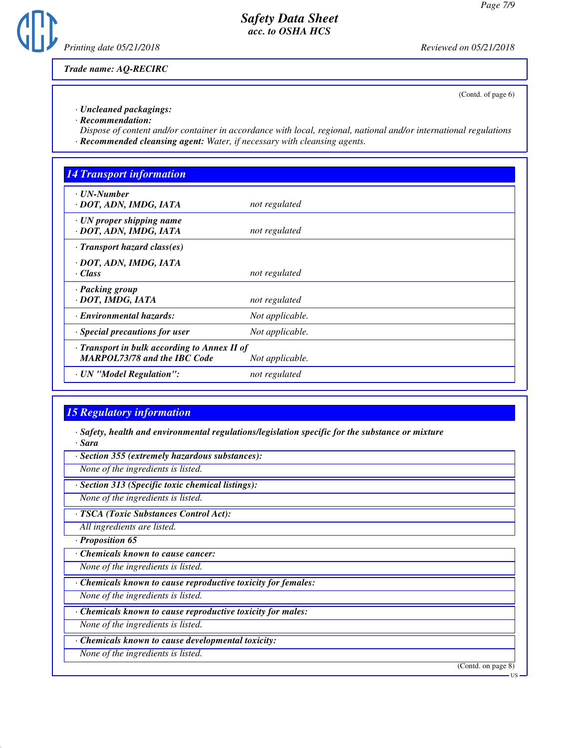

*Printing date 05/21/2018 Reviewed on 05/21/2018*

*Trade name: AQ-RECIRC*

(Contd. of page 6)

*· Uncleaned packagings:*

*· Recommendation:*

*Dispose of content and/or container in accordance with local, regional, national and/or international regulations · Recommended cleansing agent: Water, if necessary with cleansing agents.*

# *14 Transport information*

| $\cdot$ UN-Number<br>· DOT, ADN, IMDG, IATA                                         | not regulated   |
|-------------------------------------------------------------------------------------|-----------------|
| $\cdot$ UN proper shipping name<br>· DOT, ADN, IMDG, IATA                           | not regulated   |
| $\cdot$ Transport hazard class(es)                                                  |                 |
| · DOT, ADN, IMDG, IATA<br>· Class                                                   | not regulated   |
| · Packing group<br>· DOT, IMDG, IATA                                                | not regulated   |
| · Environmental hazards:                                                            | Not applicable. |
| $\cdot$ Special precautions for user                                                | Not applicable. |
| · Transport in bulk according to Annex II of<br><b>MARPOL73/78 and the IBC Code</b> | Not applicable. |
| · UN "Model Regulation":                                                            | not regulated   |
|                                                                                     |                 |

### *15 Regulatory information*

*· Safety, health and environmental regulations/legislation specific for the substance or mixture · Sara*

*· Section 355 (extremely hazardous substances):*

*None of the ingredients is listed.*

*· Section 313 (Specific toxic chemical listings):*

*None of the ingredients is listed.*

*· TSCA (Toxic Substances Control Act):*

*All ingredients are listed.*

*· Proposition 65*

*· Chemicals known to cause cancer:*

*None of the ingredients is listed.*

*· Chemicals known to cause reproductive toxicity for females:*

*None of the ingredients is listed.*

*· Chemicals known to cause reproductive toxicity for males:*

*None of the ingredients is listed.*

*· Chemicals known to cause developmental toxicity:*

*None of the ingredients is listed.*

(Contd. on page 8)

US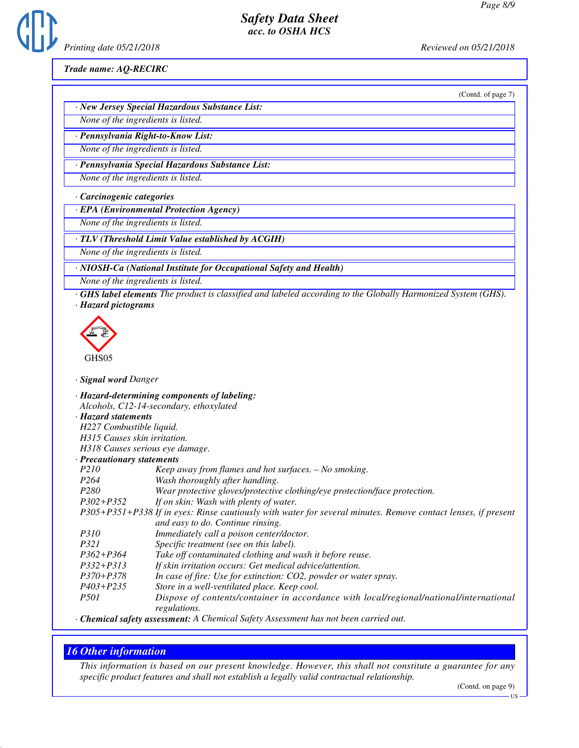

*Trade name: AQ-RECIRC*

(Contd. of page 7)

| · New Jersey Special Hazardous Substance List: |  |  |  |
|------------------------------------------------|--|--|--|
|------------------------------------------------|--|--|--|

*None of the ingredients is listed. · Pennsylvania Right-to-Know List:*

*None of the ingredients is listed.*

*· Pennsylvania Special Hazardous Substance List:*

*None of the ingredients is listed.*

*· Carcinogenic categories*

*· EPA (Environmental Protection Agency)*

*None of the ingredients is listed.*

*· TLV (Threshold Limit Value established by ACGIH)*

*None of the ingredients is listed.*

*· NIOSH-Ca (National Institute for Occupational Safety and Health)*

- *None of the ingredients is listed.*
- *· GHS label elements The product is classified and labeled according to the Globally Harmonized System (GHS). · Hazard pictograms*



- *· Signal word Danger*
- *· Hazard-determining components of labeling: Alcohols, C12-14-secondary, ethoxylated · Hazard statements*

*H227 Combustible liquid.*

*H315 Causes skin irritation. H318 Causes serious eye damage.*

*· Precautionary statements*

| <i>Precautionary statements</i> |                                                                                                                                                                                          |
|---------------------------------|------------------------------------------------------------------------------------------------------------------------------------------------------------------------------------------|
| <i>P210</i>                     | Keep away from flames and hot surfaces. - No smoking.                                                                                                                                    |
| P <sub>264</sub>                | Wash thoroughly after handling.                                                                                                                                                          |
| P <sub>280</sub>                | Wear protective gloves/protective clothing/eye protection/face protection.                                                                                                               |
| $P302 + P352$                   | If on skin: Wash with plenty of water.                                                                                                                                                   |
|                                 | P305+P351+P338 If in eyes: Rinse cautiously with water for several minutes. Remove contact lenses, if present                                                                            |
|                                 | and easy to do. Continue rinsing.                                                                                                                                                        |
| <i>P310</i>                     | Immediately call a poison center/doctor.                                                                                                                                                 |
| <i>P321</i>                     | Specific treatment (see on this label).                                                                                                                                                  |
| $P362 + P364$                   | Take off contaminated clothing and wash it before reuse.                                                                                                                                 |
| $P332 + P313$                   | If skin irritation occurs: Get medical advice/attention.                                                                                                                                 |
| $P370 + P378$                   | In case of fire: Use for extinction: CO2, powder or water spray.                                                                                                                         |
| $P403 + P235$                   | Store in a well-ventilated place. Keep cool.                                                                                                                                             |
| <i>P501</i>                     | Dispose of contents/container in accordance with local/regional/national/international<br>regulations.                                                                                   |
|                                 | $\overline{a}$ , $\overline{a}$ , $\overline{a}$ , $\overline{a}$ , $\overline{a}$ , $\overline{a}$ , $\overline{a}$ , $\overline{a}$ , $\overline{a}$ , $\overline{a}$ , $\overline{a}$ |

*· Chemical safety assessment: A Chemical Safety Assessment has not been carried out.*

## *16 Other information*

*This information is based on our present knowledge. However, this shall not constitute a guarantee for any specific product features and shall not establish a legally valid contractual relationship.*